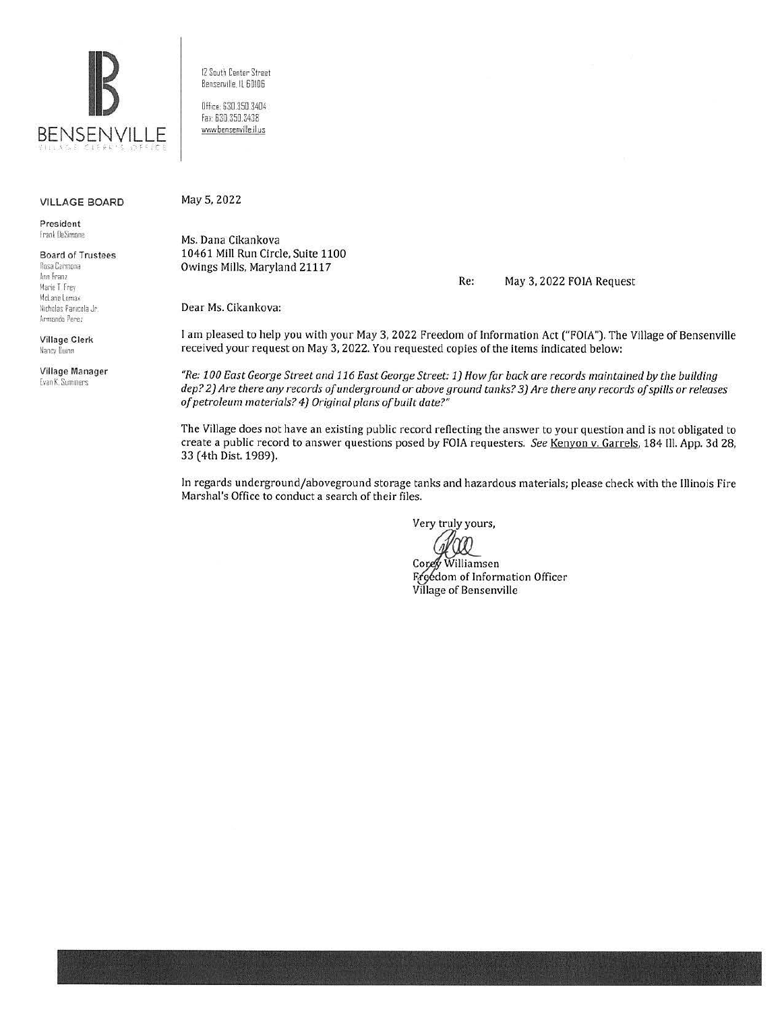

VILLAGE BOARD

President frank OeSimonc

## Board of Trustees Rosa Carmona Ann Franz Marie T. Frey McLane Lomax. Nicholas Panicola Jr.<br>Armando Perez

Village Clerk Nancy Dunn

Village Manager Evan K. Summers

12 South Center Street Bensenville. ll 60!06

Office 630.350 3404 fa.: 630.350.3438 www.bensenville.il.us

May 5, 2022

Ms. Dana Cikankova 10461 Mill Run Circle, Suite 1100 Owings Mills, Maryland 21117

Re: May 3, 2022 FOIA Request

Dear Ms. Cikankova:

I am pleased to help you with your May 3, 2022 Freedom of Information Act ("FOIA"). The Village of Bensenville received your request on May 3, 2022. You requested copies of the items indicated below:

*"Re: 100 East George Street and 116 East George Street:* l} *How far back are records maintained by the building dep? 2) Are there any records of underground or above ground tanks? 3) Are there any records of spills* or *releases of petroleum materials? 4) Original plans of built date?"* 

The Village does not have an existing public record reflecting the answer to your question and is not obligated to create a public record to answer questions posed by FOIA requesters. *See* Kenyon v. Garrels. 184 Ill. App. 3d 28, 33 ( 4th Dist. 1989).

In regards underground/aboveground storage tanks and hazardous materials; please check with the Illinois Fire Marshal's Office to conduct a search of their files.

Very truly yours,

Williamsen

Freedom of Information Officer<br>Village of Bensenville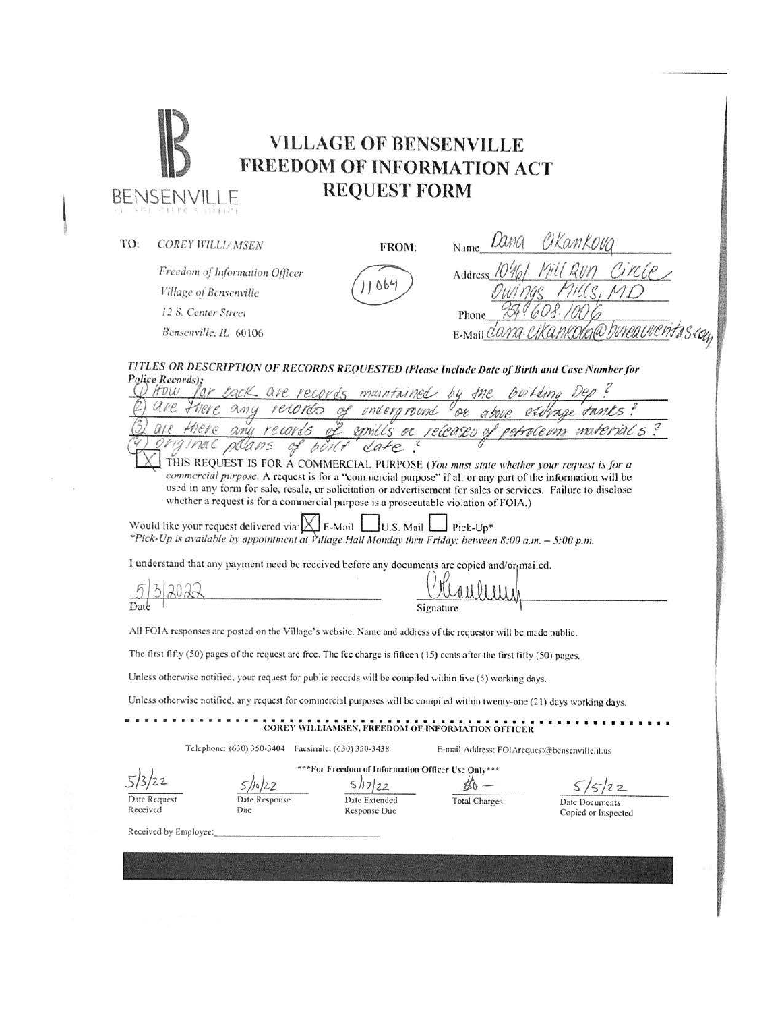| Lang<br>Cikankovg<br>TO:<br><b>COREY WILLIAMSEN</b><br>FROM:<br>Name<br>Freedom of Information Officer<br>Address $70\%$<br>$06-$<br>Village of Bensenville<br>12 S. Center Street<br>Phone<br>Bensenville, IL 60106<br>E-Mail CW<br>TITLES OR DESCRIPTION OF RECORDS REQUESTED (Please Include Date of Birth and Case Number for<br>Police Records);<br>HOW.<br>for back are records maintained by the<br>there any records of underground<br>above exologe tanks?<br>of emills or releases of petroleum materials?<br>there any records<br>THIS REQUEST IS FOR A COMMERCIAL PURPOSE (You must state whether your request is for a<br>commercial purpose. A request is for a "commercial purpose" if all or any part of the information will be<br>used in any form for sale, resale, or solicitation or advertisement for sales or services. Failure to disclose<br>whether a request is for a commercial purpose is a prosecutable violation of FOIA.)<br>Would like your request delivered via: $\Delta$ E-Mail  <br>$\bigcup$ U.S. Mail $\bigcup$<br>$\Gamma$ Pick-Up*<br>*Pick-Up is available by appointment at Village Hall Monday thru Friday; between 8:00 a.m. - 5:00 p.m.<br>I understand that any payment need be received before any documents are copied and/or <sub>f</sub> mailed.<br>Date<br>Signature<br>All FOIA responses are posted on the Village's website. Name and address of the requestor will be made public.<br>The first fifty (50) pages of the request are free. The fee charge is fifteen (15) cents after the first fifty (50) pages.<br>Unless otherwise notified, your request for public records will be compiled within five (5) working days.<br>Unless otherwise notified, any request for commercial purposes will be compiled within twenty-one (21) days working days.<br>COREY WILLIAMSEN, FREEDOM OF INFORMATION OFFICER<br>Telephone: (630) 350-3404 Facsimile: (630) 350-3438<br>E-mail Address: FOIArequest@bensenville.il.us<br>*** For Freedom of Information Officer Use Only***<br>5/17/22<br>$80 -$<br>5/22<br>Date Response<br>Date Extended<br>Date Request<br><b>Total Charges</b><br>Date Documents<br>Received<br>Due<br>Response Duc<br>Copied or Inspected<br>Received by Employee: | 化自由混合物 医眼神 用烟 | <b>FREEDOM OF INFORMATION ACT</b><br><b>REQUEST FORM</b> |        |
|--------------------------------------------------------------------------------------------------------------------------------------------------------------------------------------------------------------------------------------------------------------------------------------------------------------------------------------------------------------------------------------------------------------------------------------------------------------------------------------------------------------------------------------------------------------------------------------------------------------------------------------------------------------------------------------------------------------------------------------------------------------------------------------------------------------------------------------------------------------------------------------------------------------------------------------------------------------------------------------------------------------------------------------------------------------------------------------------------------------------------------------------------------------------------------------------------------------------------------------------------------------------------------------------------------------------------------------------------------------------------------------------------------------------------------------------------------------------------------------------------------------------------------------------------------------------------------------------------------------------------------------------------------------------------------------------------------------------------------------------------------------------------------------------------------------------------------------------------------------------------------------------------------------------------------------------------------------------------------------------------------------------------------------------------------------------------------------------------------------------------------------------------------------------------------------------------------------------------------------------------|---------------|----------------------------------------------------------|--------|
|                                                                                                                                                                                                                                                                                                                                                                                                                                                                                                                                                                                                                                                                                                                                                                                                                                                                                                                                                                                                                                                                                                                                                                                                                                                                                                                                                                                                                                                                                                                                                                                                                                                                                                                                                                                                                                                                                                                                                                                                                                                                                                                                                                                                                                                  |               |                                                          |        |
|                                                                                                                                                                                                                                                                                                                                                                                                                                                                                                                                                                                                                                                                                                                                                                                                                                                                                                                                                                                                                                                                                                                                                                                                                                                                                                                                                                                                                                                                                                                                                                                                                                                                                                                                                                                                                                                                                                                                                                                                                                                                                                                                                                                                                                                  |               |                                                          | Circle |
|                                                                                                                                                                                                                                                                                                                                                                                                                                                                                                                                                                                                                                                                                                                                                                                                                                                                                                                                                                                                                                                                                                                                                                                                                                                                                                                                                                                                                                                                                                                                                                                                                                                                                                                                                                                                                                                                                                                                                                                                                                                                                                                                                                                                                                                  |               |                                                          |        |
|                                                                                                                                                                                                                                                                                                                                                                                                                                                                                                                                                                                                                                                                                                                                                                                                                                                                                                                                                                                                                                                                                                                                                                                                                                                                                                                                                                                                                                                                                                                                                                                                                                                                                                                                                                                                                                                                                                                                                                                                                                                                                                                                                                                                                                                  |               |                                                          |        |
|                                                                                                                                                                                                                                                                                                                                                                                                                                                                                                                                                                                                                                                                                                                                                                                                                                                                                                                                                                                                                                                                                                                                                                                                                                                                                                                                                                                                                                                                                                                                                                                                                                                                                                                                                                                                                                                                                                                                                                                                                                                                                                                                                                                                                                                  |               |                                                          |        |
|                                                                                                                                                                                                                                                                                                                                                                                                                                                                                                                                                                                                                                                                                                                                                                                                                                                                                                                                                                                                                                                                                                                                                                                                                                                                                                                                                                                                                                                                                                                                                                                                                                                                                                                                                                                                                                                                                                                                                                                                                                                                                                                                                                                                                                                  |               |                                                          |        |
|                                                                                                                                                                                                                                                                                                                                                                                                                                                                                                                                                                                                                                                                                                                                                                                                                                                                                                                                                                                                                                                                                                                                                                                                                                                                                                                                                                                                                                                                                                                                                                                                                                                                                                                                                                                                                                                                                                                                                                                                                                                                                                                                                                                                                                                  |               |                                                          |        |
|                                                                                                                                                                                                                                                                                                                                                                                                                                                                                                                                                                                                                                                                                                                                                                                                                                                                                                                                                                                                                                                                                                                                                                                                                                                                                                                                                                                                                                                                                                                                                                                                                                                                                                                                                                                                                                                                                                                                                                                                                                                                                                                                                                                                                                                  |               |                                                          |        |
|                                                                                                                                                                                                                                                                                                                                                                                                                                                                                                                                                                                                                                                                                                                                                                                                                                                                                                                                                                                                                                                                                                                                                                                                                                                                                                                                                                                                                                                                                                                                                                                                                                                                                                                                                                                                                                                                                                                                                                                                                                                                                                                                                                                                                                                  |               |                                                          |        |
|                                                                                                                                                                                                                                                                                                                                                                                                                                                                                                                                                                                                                                                                                                                                                                                                                                                                                                                                                                                                                                                                                                                                                                                                                                                                                                                                                                                                                                                                                                                                                                                                                                                                                                                                                                                                                                                                                                                                                                                                                                                                                                                                                                                                                                                  |               |                                                          |        |
|                                                                                                                                                                                                                                                                                                                                                                                                                                                                                                                                                                                                                                                                                                                                                                                                                                                                                                                                                                                                                                                                                                                                                                                                                                                                                                                                                                                                                                                                                                                                                                                                                                                                                                                                                                                                                                                                                                                                                                                                                                                                                                                                                                                                                                                  |               |                                                          |        |
|                                                                                                                                                                                                                                                                                                                                                                                                                                                                                                                                                                                                                                                                                                                                                                                                                                                                                                                                                                                                                                                                                                                                                                                                                                                                                                                                                                                                                                                                                                                                                                                                                                                                                                                                                                                                                                                                                                                                                                                                                                                                                                                                                                                                                                                  |               |                                                          |        |
|                                                                                                                                                                                                                                                                                                                                                                                                                                                                                                                                                                                                                                                                                                                                                                                                                                                                                                                                                                                                                                                                                                                                                                                                                                                                                                                                                                                                                                                                                                                                                                                                                                                                                                                                                                                                                                                                                                                                                                                                                                                                                                                                                                                                                                                  |               |                                                          |        |
|                                                                                                                                                                                                                                                                                                                                                                                                                                                                                                                                                                                                                                                                                                                                                                                                                                                                                                                                                                                                                                                                                                                                                                                                                                                                                                                                                                                                                                                                                                                                                                                                                                                                                                                                                                                                                                                                                                                                                                                                                                                                                                                                                                                                                                                  |               |                                                          |        |
|                                                                                                                                                                                                                                                                                                                                                                                                                                                                                                                                                                                                                                                                                                                                                                                                                                                                                                                                                                                                                                                                                                                                                                                                                                                                                                                                                                                                                                                                                                                                                                                                                                                                                                                                                                                                                                                                                                                                                                                                                                                                                                                                                                                                                                                  |               |                                                          |        |
|                                                                                                                                                                                                                                                                                                                                                                                                                                                                                                                                                                                                                                                                                                                                                                                                                                                                                                                                                                                                                                                                                                                                                                                                                                                                                                                                                                                                                                                                                                                                                                                                                                                                                                                                                                                                                                                                                                                                                                                                                                                                                                                                                                                                                                                  |               |                                                          |        |
|                                                                                                                                                                                                                                                                                                                                                                                                                                                                                                                                                                                                                                                                                                                                                                                                                                                                                                                                                                                                                                                                                                                                                                                                                                                                                                                                                                                                                                                                                                                                                                                                                                                                                                                                                                                                                                                                                                                                                                                                                                                                                                                                                                                                                                                  |               |                                                          |        |
|                                                                                                                                                                                                                                                                                                                                                                                                                                                                                                                                                                                                                                                                                                                                                                                                                                                                                                                                                                                                                                                                                                                                                                                                                                                                                                                                                                                                                                                                                                                                                                                                                                                                                                                                                                                                                                                                                                                                                                                                                                                                                                                                                                                                                                                  |               |                                                          |        |
|                                                                                                                                                                                                                                                                                                                                                                                                                                                                                                                                                                                                                                                                                                                                                                                                                                                                                                                                                                                                                                                                                                                                                                                                                                                                                                                                                                                                                                                                                                                                                                                                                                                                                                                                                                                                                                                                                                                                                                                                                                                                                                                                                                                                                                                  |               |                                                          |        |
|                                                                                                                                                                                                                                                                                                                                                                                                                                                                                                                                                                                                                                                                                                                                                                                                                                                                                                                                                                                                                                                                                                                                                                                                                                                                                                                                                                                                                                                                                                                                                                                                                                                                                                                                                                                                                                                                                                                                                                                                                                                                                                                                                                                                                                                  |               |                                                          |        |
|                                                                                                                                                                                                                                                                                                                                                                                                                                                                                                                                                                                                                                                                                                                                                                                                                                                                                                                                                                                                                                                                                                                                                                                                                                                                                                                                                                                                                                                                                                                                                                                                                                                                                                                                                                                                                                                                                                                                                                                                                                                                                                                                                                                                                                                  |               |                                                          |        |
|                                                                                                                                                                                                                                                                                                                                                                                                                                                                                                                                                                                                                                                                                                                                                                                                                                                                                                                                                                                                                                                                                                                                                                                                                                                                                                                                                                                                                                                                                                                                                                                                                                                                                                                                                                                                                                                                                                                                                                                                                                                                                                                                                                                                                                                  |               |                                                          |        |
|                                                                                                                                                                                                                                                                                                                                                                                                                                                                                                                                                                                                                                                                                                                                                                                                                                                                                                                                                                                                                                                                                                                                                                                                                                                                                                                                                                                                                                                                                                                                                                                                                                                                                                                                                                                                                                                                                                                                                                                                                                                                                                                                                                                                                                                  |               |                                                          |        |
|                                                                                                                                                                                                                                                                                                                                                                                                                                                                                                                                                                                                                                                                                                                                                                                                                                                                                                                                                                                                                                                                                                                                                                                                                                                                                                                                                                                                                                                                                                                                                                                                                                                                                                                                                                                                                                                                                                                                                                                                                                                                                                                                                                                                                                                  |               |                                                          |        |
|                                                                                                                                                                                                                                                                                                                                                                                                                                                                                                                                                                                                                                                                                                                                                                                                                                                                                                                                                                                                                                                                                                                                                                                                                                                                                                                                                                                                                                                                                                                                                                                                                                                                                                                                                                                                                                                                                                                                                                                                                                                                                                                                                                                                                                                  |               |                                                          |        |
|                                                                                                                                                                                                                                                                                                                                                                                                                                                                                                                                                                                                                                                                                                                                                                                                                                                                                                                                                                                                                                                                                                                                                                                                                                                                                                                                                                                                                                                                                                                                                                                                                                                                                                                                                                                                                                                                                                                                                                                                                                                                                                                                                                                                                                                  |               |                                                          |        |
|                                                                                                                                                                                                                                                                                                                                                                                                                                                                                                                                                                                                                                                                                                                                                                                                                                                                                                                                                                                                                                                                                                                                                                                                                                                                                                                                                                                                                                                                                                                                                                                                                                                                                                                                                                                                                                                                                                                                                                                                                                                                                                                                                                                                                                                  |               |                                                          |        |